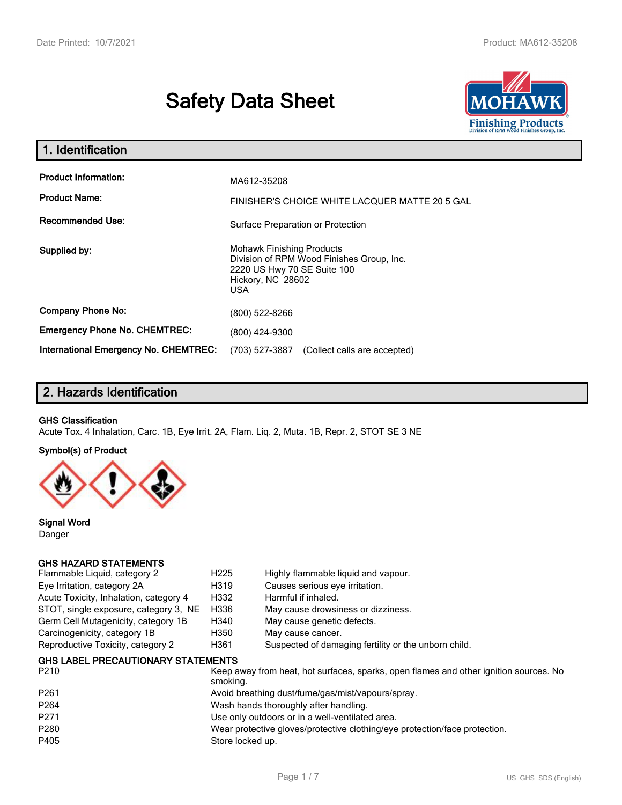# **Safety Data Sheet**



| 1. Identification                                   |                                                                                                                                          |
|-----------------------------------------------------|------------------------------------------------------------------------------------------------------------------------------------------|
| <b>Product Information:</b><br><b>Product Name:</b> | MA612-35208<br>FINISHER'S CHOICE WHITE LACQUER MATTE 20 5 GAL                                                                            |
| <b>Recommended Use:</b>                             | Surface Preparation or Protection                                                                                                        |
| Supplied by:                                        | <b>Mohawk Finishing Products</b><br>Division of RPM Wood Finishes Group, Inc.<br>2220 US Hwy 70 SE Suite 100<br>Hickory, NC 28602<br>USA |
| <b>Company Phone No:</b>                            | (800) 522-8266                                                                                                                           |
| <b>Emergency Phone No. CHEMTREC:</b>                | (800) 424-9300                                                                                                                           |
| <b>International Emergency No. CHEMTREC:</b>        | (703) 527-3887<br>(Collect calls are accepted)                                                                                           |

# **2. Hazards Identification**

#### **GHS Classification**

Acute Tox. 4 Inhalation, Carc. 1B, Eye Irrit. 2A, Flam. Liq. 2, Muta. 1B, Repr. 2, STOT SE 3 NE

#### **Symbol(s) of Product**



**Signal Word** Danger

#### **GHS HAZARD STATEMENTS**

| Flammable Liquid, category 2           | H <sub>225</sub> | Highly flammable liquid and vapour.                  |
|----------------------------------------|------------------|------------------------------------------------------|
| Eye Irritation, category 2A            | H319             | Causes serious eye irritation.                       |
| Acute Toxicity, Inhalation, category 4 | H332             | Harmful if inhaled.                                  |
| STOT, single exposure, category 3, NE  | H336             | May cause drowsiness or dizziness.                   |
| Germ Cell Mutagenicity, category 1B    | H340             | May cause genetic defects.                           |
| Carcinogenicity, category 1B           | H350             | May cause cancer.                                    |
| Reproductive Toxicity, category 2      | H361             | Suspected of damaging fertility or the unborn child. |
|                                        |                  |                                                      |

#### **GHS LABEL PRECAUTIONARY STATEMENTS**

| P <sub>210</sub> | Keep away from heat, hot surfaces, sparks, open flames and other ignition sources. No<br>smoking. |
|------------------|---------------------------------------------------------------------------------------------------|
| P <sub>261</sub> | Avoid breathing dust/fume/gas/mist/vapours/spray.                                                 |
| P <sub>264</sub> | Wash hands thoroughly after handling.                                                             |
| P <sub>271</sub> | Use only outdoors or in a well-ventilated area.                                                   |
| P280             | Wear protective gloves/protective clothing/eye protection/face protection.                        |
| P405             | Store locked up.                                                                                  |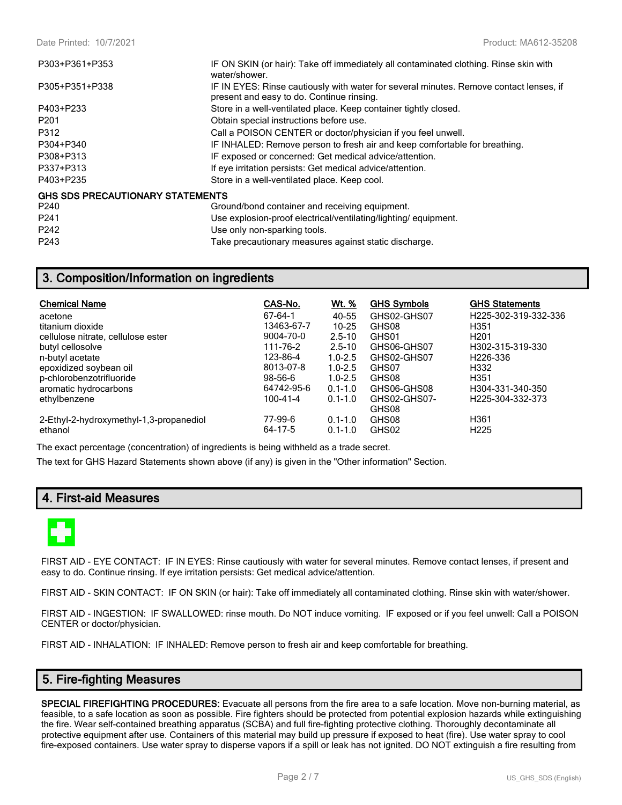| P303+P361+P353                          | IF ON SKIN (or hair): Take off immediately all contaminated clothing. Rinse skin with<br>water/shower.                              |
|-----------------------------------------|-------------------------------------------------------------------------------------------------------------------------------------|
| P305+P351+P338                          | IF IN EYES: Rinse cautiously with water for several minutes. Remove contact lenses, if<br>present and easy to do. Continue rinsing. |
| P403+P233                               | Store in a well-ventilated place. Keep container tightly closed.                                                                    |
| P <sub>201</sub>                        | Obtain special instructions before use.                                                                                             |
| P312                                    | Call a POISON CENTER or doctor/physician if you feel unwell.                                                                        |
| P304+P340                               | IF INHALED: Remove person to fresh air and keep comfortable for breathing.                                                          |
| P308+P313                               | IF exposed or concerned: Get medical advice/attention.                                                                              |
| P337+P313                               | If eye irritation persists: Get medical advice/attention.                                                                           |
| P403+P235                               | Store in a well-ventilated place. Keep cool.                                                                                        |
| <b>GHS SDS PRECAUTIONARY STATEMENTS</b> |                                                                                                                                     |
| P240                                    | Ground/bond container and receiving equipment.                                                                                      |
| P <sub>241</sub>                        | Use explosion-proof electrical/ventilating/lighting/equipment.                                                                      |
| P242                                    | Use only non-sparking tools.                                                                                                        |
| P243                                    | Take precautionary measures against static discharge.                                                                               |

# **3. Composition/Information on ingredients**

| <b>Chemical Name</b>                    | CAS-No.       | <u>Wt. %</u> | <b>GHS Symbols</b> | <b>GHS Statements</b> |
|-----------------------------------------|---------------|--------------|--------------------|-----------------------|
| acetone                                 | 67-64-1       | 40-55        | GHS02-GHS07        | H225-302-319-332-336  |
| titanium dioxide                        | 13463-67-7    | $10 - 25$    | GHS08              | H <sub>351</sub>      |
| cellulose nitrate, cellulose ester      | 9004-70-0     | $2.5 - 10$   | GHS01              | H <sub>201</sub>      |
| butyl cellosolve                        | 111-76-2      | $2.5 - 10$   | GHS06-GHS07        | H302-315-319-330      |
| n-butyl acetate                         | 123-86-4      | $1.0 - 2.5$  | GHS02-GHS07        | H <sub>226</sub> -336 |
| epoxidized soybean oil                  | 8013-07-8     | $1.0 - 2.5$  | GHS07              | H332                  |
| p-chlorobenzotrifluoride                | $98 - 56 - 6$ | $1.0 - 2.5$  | GHS08              | H <sub>351</sub>      |
| aromatic hydrocarbons                   | 64742-95-6    | $0.1 - 1.0$  | GHS06-GHS08        | H304-331-340-350      |
| ethylbenzene                            | 100-41-4      | $0.1 - 1.0$  | GHS02-GHS07-       | H225-304-332-373      |
|                                         |               |              | GHS08              |                       |
| 2-Ethyl-2-hydroxymethyl-1,3-propanediol | 77-99-6       | $0.1 - 1.0$  | GHS08              | H <sub>361</sub>      |
| ethanol                                 | 64-17-5       | $0.1 - 1.0$  | GHS02              | H <sub>225</sub>      |

The exact percentage (concentration) of ingredients is being withheld as a trade secret.

The text for GHS Hazard Statements shown above (if any) is given in the "Other information" Section.

# **4. First-aid Measures**



FIRST AID - EYE CONTACT: IF IN EYES: Rinse cautiously with water for several minutes. Remove contact lenses, if present and easy to do. Continue rinsing. If eye irritation persists: Get medical advice/attention.

FIRST AID - SKIN CONTACT: IF ON SKIN (or hair): Take off immediately all contaminated clothing. Rinse skin with water/shower.

FIRST AID - INGESTION: IF SWALLOWED: rinse mouth. Do NOT induce vomiting. IF exposed or if you feel unwell: Call a POISON CENTER or doctor/physician.

FIRST AID - INHALATION: IF INHALED: Remove person to fresh air and keep comfortable for breathing.

## **5. Fire-fighting Measures**

**SPECIAL FIREFIGHTING PROCEDURES:** Evacuate all persons from the fire area to a safe location. Move non-burning material, as feasible, to a safe location as soon as possible. Fire fighters should be protected from potential explosion hazards while extinguishing the fire. Wear self-contained breathing apparatus (SCBA) and full fire-fighting protective clothing. Thoroughly decontaminate all protective equipment after use. Containers of this material may build up pressure if exposed to heat (fire). Use water spray to cool fire-exposed containers. Use water spray to disperse vapors if a spill or leak has not ignited. DO NOT extinguish a fire resulting from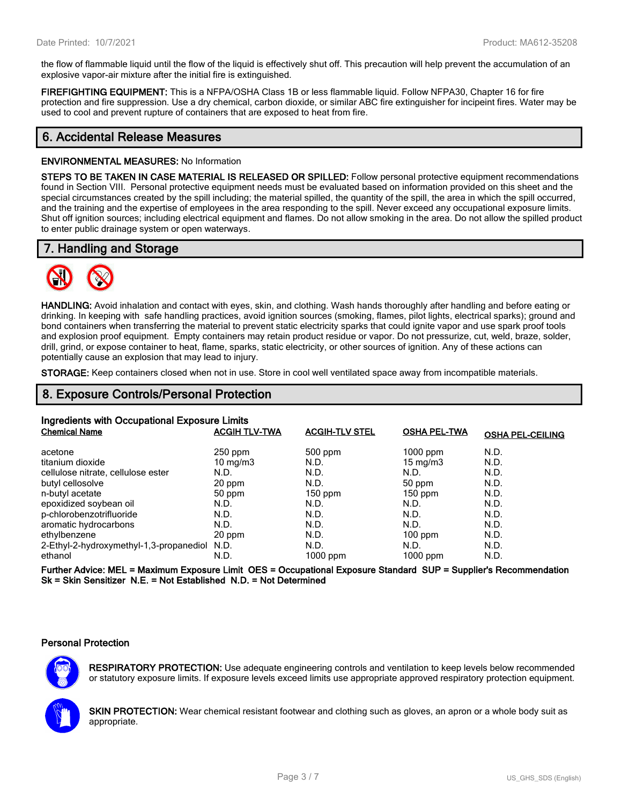the flow of flammable liquid until the flow of the liquid is effectively shut off. This precaution will help prevent the accumulation of an explosive vapor-air mixture after the initial fire is extinguished.

**FIREFIGHTING EQUIPMENT:** This is a NFPA/OSHA Class 1B or less flammable liquid. Follow NFPA30, Chapter 16 for fire protection and fire suppression. Use a dry chemical, carbon dioxide, or similar ABC fire extinguisher for incipeint fires. Water may be used to cool and prevent rupture of containers that are exposed to heat from fire.

# **6. Accidental Release Measures**

#### **ENVIRONMENTAL MEASURES:** No Information

**STEPS TO BE TAKEN IN CASE MATERIAL IS RELEASED OR SPILLED:** Follow personal protective equipment recommendations found in Section VIII. Personal protective equipment needs must be evaluated based on information provided on this sheet and the special circumstances created by the spill including; the material spilled, the quantity of the spill, the area in which the spill occurred, and the training and the expertise of employees in the area responding to the spill. Never exceed any occupational exposure limits. Shut off ignition sources; including electrical equipment and flames. Do not allow smoking in the area. Do not allow the spilled product to enter public drainage system or open waterways.

# **7. Handling and Storage**



**HANDLING:** Avoid inhalation and contact with eyes, skin, and clothing. Wash hands thoroughly after handling and before eating or drinking. In keeping with safe handling practices, avoid ignition sources (smoking, flames, pilot lights, electrical sparks); ground and bond containers when transferring the material to prevent static electricity sparks that could ignite vapor and use spark proof tools and explosion proof equipment. Empty containers may retain product residue or vapor. Do not pressurize, cut, weld, braze, solder, drill, grind, or expose container to heat, flame, sparks, static electricity, or other sources of ignition. Any of these actions can potentially cause an explosion that may lead to injury.

**STORAGE:** Keep containers closed when not in use. Store in cool well ventilated space away from incompatible materials.

## **8. Exposure Controls/Personal Protection**

| Ingredients with Occupational Exposure Limits |                      |                       |                     |                         |  |
|-----------------------------------------------|----------------------|-----------------------|---------------------|-------------------------|--|
| <b>Chemical Name</b>                          | <b>ACGIH TLV-TWA</b> | <b>ACGIH-TLV STEL</b> | <b>OSHA PEL-TWA</b> | <b>OSHA PEL-CEILING</b> |  |
| acetone                                       | $250$ ppm            | $500$ ppm             | $1000$ ppm          | N.D.                    |  |
| titanium dioxide                              | $10 \text{ mg/m}$    | N.D.                  | $15 \text{ mg/m}$   | N.D.                    |  |
| cellulose nitrate, cellulose ester            | N.D.                 | N.D.                  | N.D.                | N.D.                    |  |
| butyl cellosolve                              | 20 ppm               | N.D.                  | 50 ppm              | N.D.                    |  |
| n-butyl acetate                               | 50 ppm               | $150$ ppm             | $150$ ppm           | N.D.                    |  |
| epoxidized soybean oil                        | N.D.                 | N.D.                  | N.D.                | N.D.                    |  |
| p-chlorobenzotrifluoride                      | N.D.                 | N.D.                  | N.D.                | N.D.                    |  |
| aromatic hydrocarbons                         | N.D.                 | N.D.                  | N.D.                | N.D.                    |  |
| ethylbenzene                                  | 20 ppm               | N.D.                  | $100$ ppm           | N.D.                    |  |
| 2-Ethyl-2-hydroxymethyl-1,3-propanediol N.D.  |                      | N.D.                  | N.D.                | N.D.                    |  |
| ethanol                                       | N.D.                 | 1000 ppm              | $1000$ ppm          | N.D.                    |  |

**Further Advice: MEL = Maximum Exposure Limit OES = Occupational Exposure Standard SUP = Supplier's Recommendation Sk = Skin Sensitizer N.E. = Not Established N.D. = Not Determined**

#### **Personal Protection**



**RESPIRATORY PROTECTION:** Use adequate engineering controls and ventilation to keep levels below recommended or statutory exposure limits. If exposure levels exceed limits use appropriate approved respiratory protection equipment.

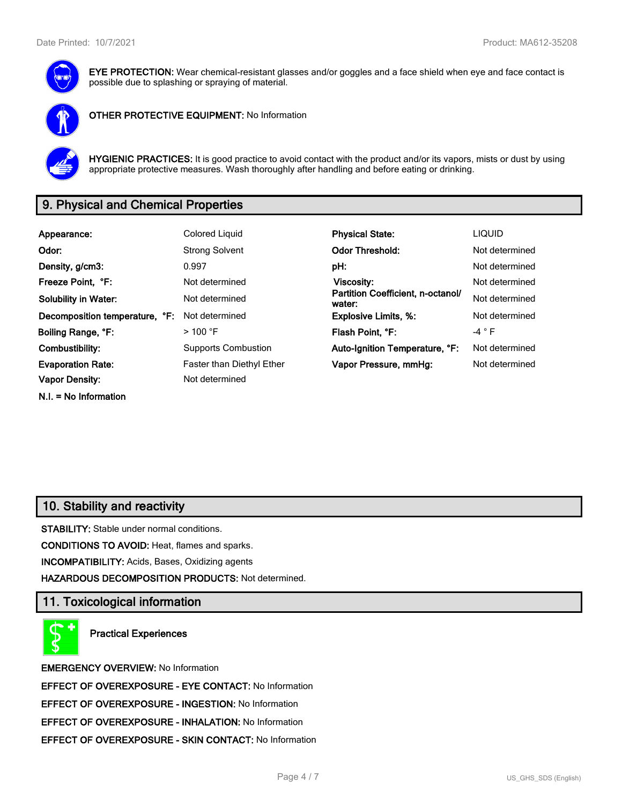

**EYE PROTECTION:** Wear chemical-resistant glasses and/or goggles and a face shield when eye and face contact is possible due to splashing or spraying of material.



**OTHER PROTECTIVE EQUIPMENT:** No Information



**HYGIENIC PRACTICES:** It is good practice to avoid contact with the product and/or its vapors, mists or dust by using appropriate protective measures. Wash thoroughly after handling and before eating or drinking.

# **9. Physical and Chemical Properties**

| Appearance:                    | Colored Liquid                   | <b>Physical State:</b>                      | <b>LIQUID</b>   |
|--------------------------------|----------------------------------|---------------------------------------------|-----------------|
| Odor:                          | <b>Strong Solvent</b>            | <b>Odor Threshold:</b>                      | Not determined  |
| Density, g/cm3:                | 0.997                            | pH:                                         | Not determined  |
| Freeze Point, °F:              | Not determined                   | Viscosity:                                  | Not determined  |
| <b>Solubility in Water:</b>    | Not determined                   | Partition Coefficient, n-octanol/<br>water: | Not determined  |
| Decomposition temperature, °F: | Not determined                   | <b>Explosive Limits, %:</b>                 | Not determined  |
| Boiling Range, °F:             | $>$ 100 °F                       | Flash Point, °F:                            | -4 $^{\circ}$ F |
| Combustibility:                | <b>Supports Combustion</b>       | Auto-Ignition Temperature, °F:              | Not determined  |
| <b>Evaporation Rate:</b>       | <b>Faster than Diethyl Ether</b> | Vapor Pressure, mmHg:                       | Not determined  |
| <b>Vapor Density:</b>          | Not determined                   |                                             |                 |
| $N.I. = No Information$        |                                  |                                             |                 |

# **10. Stability and reactivity**

**STABILITY:** Stable under normal conditions.

**CONDITIONS TO AVOID:** Heat, flames and sparks.

**INCOMPATIBILITY:** Acids, Bases, Oxidizing agents

**HAZARDOUS DECOMPOSITION PRODUCTS:** Not determined.

## **11. Toxicological information**

**Practical Experiences**

**EMERGENCY OVERVIEW:** No Information **EFFECT OF OVEREXPOSURE - EYE CONTACT:** No Information **EFFECT OF OVEREXPOSURE - INGESTION:** No Information **EFFECT OF OVEREXPOSURE - INHALATION:** No Information **EFFECT OF OVEREXPOSURE - SKIN CONTACT:** No Information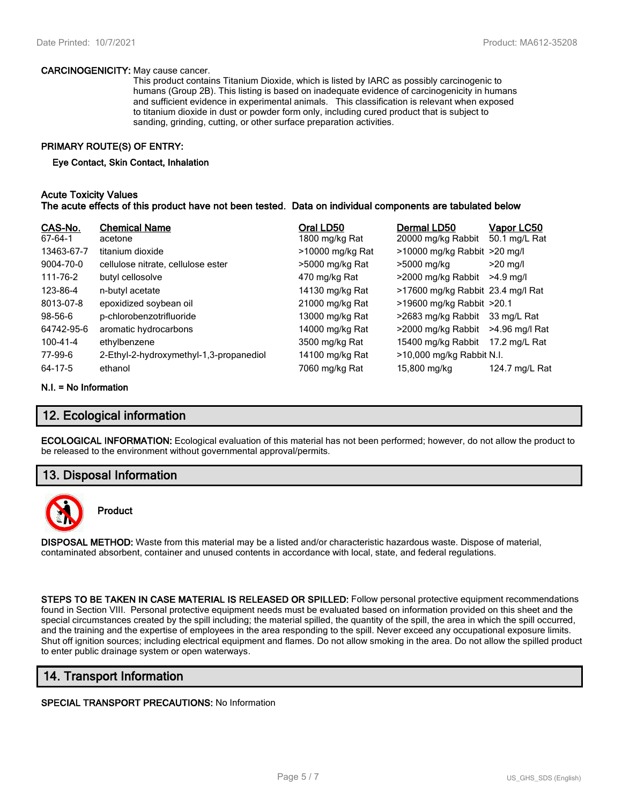#### **CARCINOGENICITY:** May cause cancer.

This product contains Titanium Dioxide, which is listed by IARC as possibly carcinogenic to humans (Group 2B). This listing is based on inadequate evidence of carcinogenicity in humans and sufficient evidence in experimental animals. This classification is relevant when exposed to titanium dioxide in dust or powder form only, including cured product that is subject to sanding, grinding, cutting, or other surface preparation activities.

#### **PRIMARY ROUTE(S) OF ENTRY:**

#### **Eye Contact, Skin Contact, Inhalation**

#### **Acute Toxicity Values The acute effects of this product have not been tested. Data on individual components are tabulated below**

| CAS-No.<br>67-64-1 | <b>Chemical Name</b><br>acetone         | Oral LD50<br>1800 mg/kg Rat | Dermal LD50<br>20000 mg/kg Rabbit | <u>Vapor LC50</u><br>50.1 mg/L Rat |
|--------------------|-----------------------------------------|-----------------------------|-----------------------------------|------------------------------------|
| 13463-67-7         | titanium dioxide                        | >10000 mg/kg Rat            | $>10000$ mg/kg Rabbit $>20$ mg/l  |                                    |
| 9004-70-0          | cellulose nitrate, cellulose ester      | >5000 mg/kg Rat             | >5000 mg/kg                       | $>20$ mg/l                         |
| 111-76-2           | butyl cellosolve                        | 470 mg/kg Rat               | >2000 mg/kg Rabbit                | $>4.9$ ma/l                        |
| 123-86-4           | n-butyl acetate                         | 14130 mg/kg Rat             | >17600 mg/kg Rabbit 23.4 mg/l Rat |                                    |
| 8013-07-8          | epoxidized soybean oil                  | 21000 mg/kg Rat             | >19600 mg/kg Rabbit >20.1         |                                    |
| $98 - 56 - 6$      | p-chlorobenzotrifluoride                | 13000 mg/kg Rat             | >2683 mg/kg Rabbit                | 33 mg/L Rat                        |
| 64742-95-6         | aromatic hydrocarbons                   | 14000 mg/kg Rat             | >2000 mg/kg Rabbit                | >4.96 mg/l Rat                     |
| 100-41-4           | ethylbenzene                            | 3500 mg/kg Rat              | 15400 mg/kg Rabbit                | 17.2 mg/L Rat                      |
| 77-99-6            | 2-Ethyl-2-hydroxymethyl-1,3-propanediol | 14100 mg/kg Rat             | >10,000 mg/kg Rabbit N.I.         |                                    |
| 64-17-5            | ethanol                                 | 7060 mg/kg Rat              | 15,800 mg/kg                      | 124.7 mg/L Rat                     |

#### **N.I. = No Information**

# **12. Ecological information**

**ECOLOGICAL INFORMATION:** Ecological evaluation of this material has not been performed; however, do not allow the product to be released to the environment without governmental approval/permits.

## **13. Disposal Information**



## **Product**

**DISPOSAL METHOD:** Waste from this material may be a listed and/or characteristic hazardous waste. Dispose of material, contaminated absorbent, container and unused contents in accordance with local, state, and federal regulations.

**STEPS TO BE TAKEN IN CASE MATERIAL IS RELEASED OR SPILLED:** Follow personal protective equipment recommendations found in Section VIII. Personal protective equipment needs must be evaluated based on information provided on this sheet and the special circumstances created by the spill including; the material spilled, the quantity of the spill, the area in which the spill occurred, and the training and the expertise of employees in the area responding to the spill. Never exceed any occupational exposure limits. Shut off ignition sources; including electrical equipment and flames. Do not allow smoking in the area. Do not allow the spilled product to enter public drainage system or open waterways.

# **14. Transport Information**

#### **SPECIAL TRANSPORT PRECAUTIONS:** No Information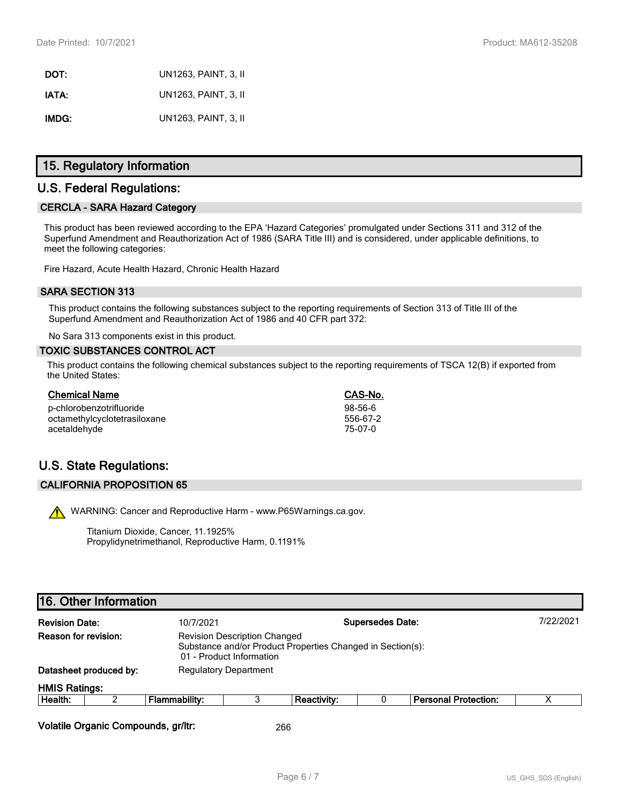**DOT:** UN1263, PAINT, 3, II **IATA:** UN1263, PAINT, 3, II **IMDG:** UN1263, PAINT, 3, II

# **15. Regulatory Information**

# **U.S. Federal Regulations:**

#### **CERCLA - SARA Hazard Category**

This product has been reviewed according to the EPA 'Hazard Categories' promulgated under Sections 311 and 312 of the Superfund Amendment and Reauthorization Act of 1986 (SARA Title III) and is considered, under applicable definitions, to meet the following categories:

Fire Hazard, Acute Health Hazard, Chronic Health Hazard

#### **SARA SECTION 313**

This product contains the following substances subject to the reporting requirements of Section 313 of Title III of the Superfund Amendment and Reauthorization Act of 1986 and 40 CFR part 372:

No Sara 313 components exist in this product.

#### **TOXIC SUBSTANCES CONTROL ACT**

This product contains the following chemical substances subject to the reporting requirements of TSCA 12(B) if exported from the United States:

| <b>Chemical Name</b>         | CAS-No.   |
|------------------------------|-----------|
| p-chlorobenzotrifluoride     | $98-56-6$ |
| octamethylcyclotetrasiloxane | 556-67-2  |
| acetaldehyde                 | 75-07-0   |

# **U.S. State Regulations:**

#### **CALIFORNIA PROPOSITION 65**

WARNING: Cancer and Reproductive Harm - www.P65Warnings.ca.gov.

Titanium Dioxide, Cancer, 11.1925% Propylidynetrimethanol, Reproductive Harm, 0.1191%

# **16. Other Information**

| <b>Revision Date:</b> |                        | <b>Supersedes Date:</b><br>10/7/2021                                                                                          |  |             |  | 7/22/2021                   |  |
|-----------------------|------------------------|-------------------------------------------------------------------------------------------------------------------------------|--|-------------|--|-----------------------------|--|
| Reason for revision:  |                        | <b>Revision Description Changed</b><br>Substance and/or Product Properties Changed in Section(s):<br>01 - Product Information |  |             |  |                             |  |
|                       | Datasheet produced by: | <b>Regulatory Department</b>                                                                                                  |  |             |  |                             |  |
| <b>HMIS Ratings:</b>  |                        |                                                                                                                               |  |             |  |                             |  |
| Health:               |                        | Flammability:                                                                                                                 |  | Reactivity: |  | <b>Personal Protection:</b> |  |
|                       |                        |                                                                                                                               |  |             |  |                             |  |

**Volatile Organic Compounds, gr/ltr:** 266